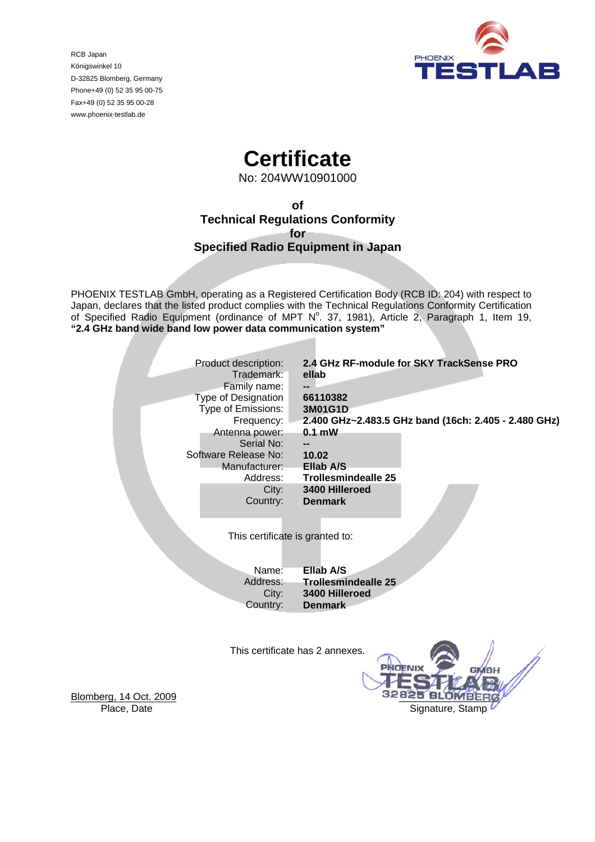

RCB Japan Königswinkel 10 D-32825 Blomberg, Germany Phone+49 (0) 52 35 95 00-75 Fax+49 (0) 52 35 95 00-28 www.phoenix-testlab.de

# **Certificate**

No: 204WW10901000

**of Technical Regulations Conformity for Specified Radio Equipment in Japan** 

PHOENIX TESTLAB GmbH, operating as a Registered Certification Body (RCB ID: 204) with respect to Japan, declares that the listed product complies with the Technical Regulations Conformity Certification of Specified Radio Equipment (ordinance of MPT  $N^{\circ}$ . 37, 1981), Article 2, Paragraph 1, Item 19, **"2.4 GHz band wide band low power data communication system"** 

| Product description:            | 2.4 GHz RF-module for SKY TrackSense PRO             |  |
|---------------------------------|------------------------------------------------------|--|
| Trademark:                      | ellab                                                |  |
| Family name:                    |                                                      |  |
| Type of Designation             | 66110382                                             |  |
| Type of Emissions:              | 3M01G1D                                              |  |
| Frequency:                      | 2.400 GHz~2.483.5 GHz band (16ch: 2.405 - 2.480 GHz) |  |
| Antenna power:                  | $0.1$ mW                                             |  |
| Serial No:                      |                                                      |  |
| Software Release No:            | 10.02                                                |  |
| Manufacturer:                   | Ellab A/S                                            |  |
| Address:                        | <b>Trollesmindealle 25</b>                           |  |
| City:                           | 3400 Hilleroed                                       |  |
| Country:                        | <b>Denmark</b>                                       |  |
|                                 |                                                      |  |
|                                 |                                                      |  |
| This certificate is granted to: |                                                      |  |
|                                 |                                                      |  |
| Name:                           | Ellab A/S                                            |  |
| Address:                        | <b>Trollesmindealle 25</b>                           |  |
| City:                           | 3400 Hilleroed                                       |  |
| Country:                        | <b>Denmark</b>                                       |  |
|                                 |                                                      |  |
|                                 |                                                      |  |
|                                 |                                                      |  |
| すしきょう えんかいしょう しょうこめ             |                                                      |  |

This certificate has 2 annexes.



Blomberg, 14 Oct. 2009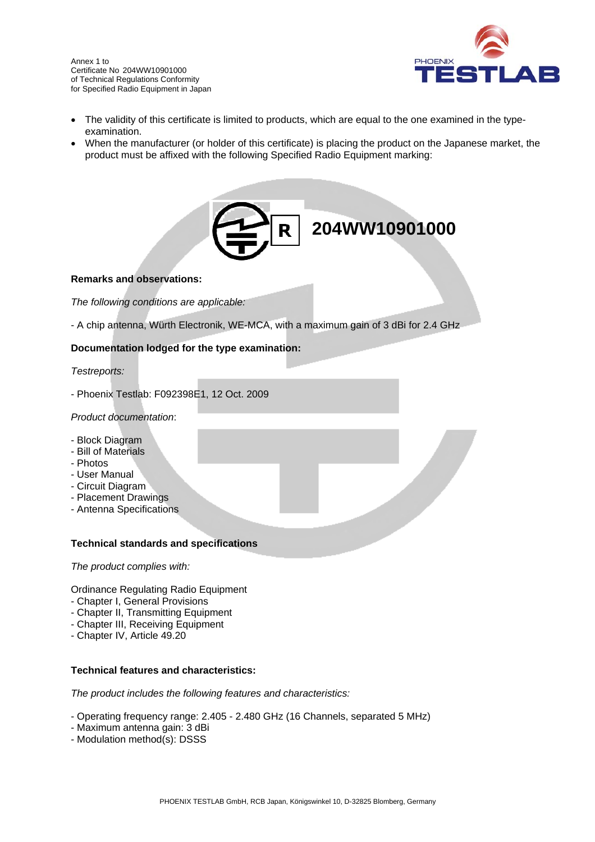

- The validity of this certificate is limited to products, which are equal to the one examined in the typeexamination.
- When the manufacturer (or holder of this certificate) is placing the product on the Japanese market, the product must be affixed with the following Specified Radio Equipment marking:



### **Remarks and observations:**

*The following conditions are applicable:* 

- A chip antenna, Würth Electronik, WE-MCA, with a maximum gain of 3 dBi for 2.4 GHz

## **Documentation lodged for the type examination:**

### *Testreports:*

- Phoenix Testlab: F092398E1, 12 Oct. 2009

### *Product documentation*:

- Block Diagram
- Bill of Materials
- Photos
- User Manual
- Circuit Diagram
- Placement Drawings
- Antenna Specifications

### **Technical standards and specifications**

*The product complies with:* 

Ordinance Regulating Radio Equipment

- Chapter I, General Provisions
- Chapter II, Transmitting Equipment
- Chapter III, Receiving Equipment
- Chapter IV, Article 49.20

### **Technical features and characteristics:**

*The product includes the following features and characteristics:* 

- Operating frequency range: 2.405 2.480 GHz (16 Channels, separated 5 MHz)
- Maximum antenna gain: 3 dBi
- Modulation method(s): DSSS